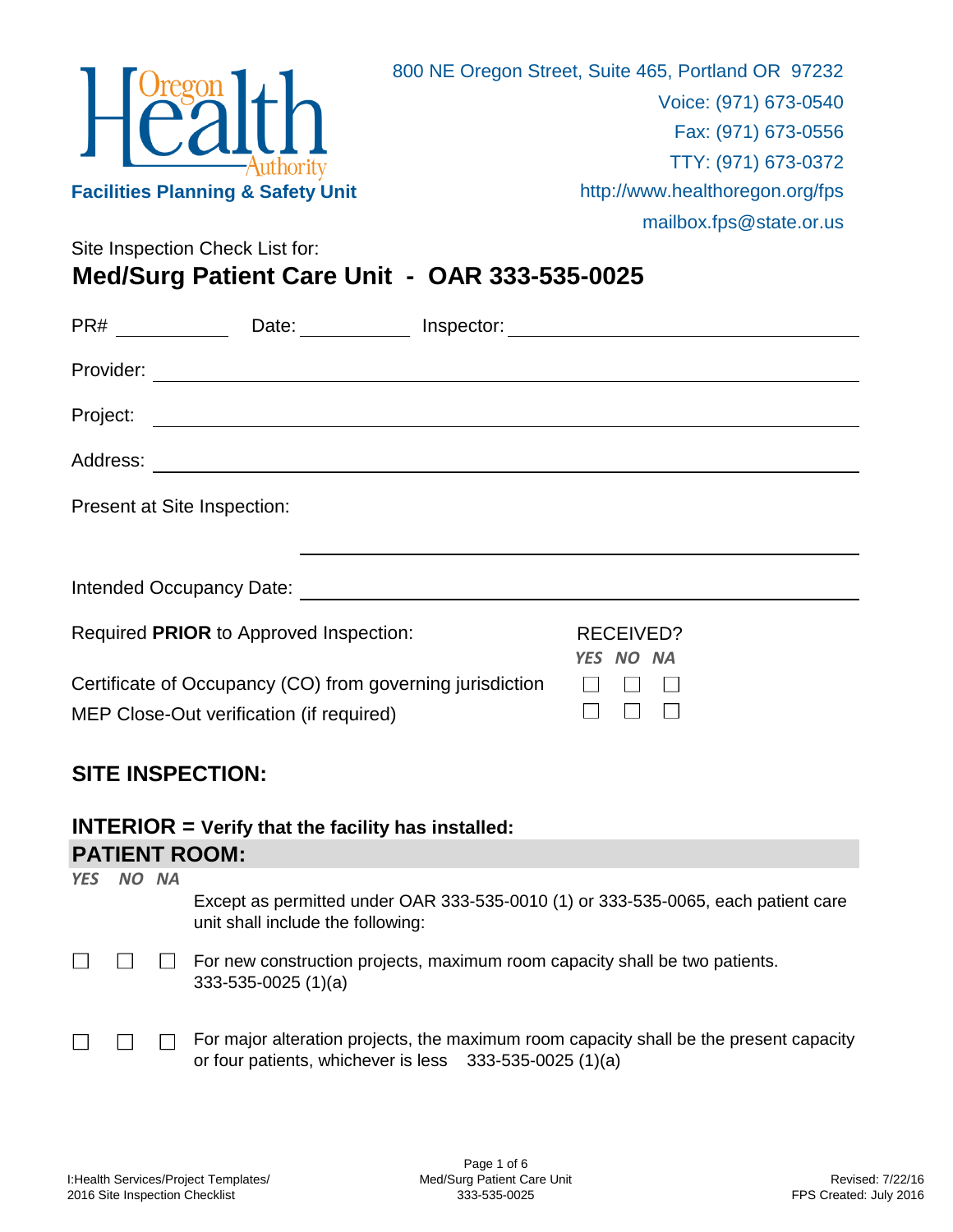

Site Inspection Check List for:

## **Med/Surg Patient Care Unit - OAR 333-535-0025**

| PR#                         |                                                                                                       |  |                               |  |  |  |
|-----------------------------|-------------------------------------------------------------------------------------------------------|--|-------------------------------|--|--|--|
|                             |                                                                                                       |  |                               |  |  |  |
| Project:                    |                                                                                                       |  |                               |  |  |  |
|                             |                                                                                                       |  |                               |  |  |  |
| Present at Site Inspection: |                                                                                                       |  |                               |  |  |  |
|                             |                                                                                                       |  |                               |  |  |  |
|                             |                                                                                                       |  |                               |  |  |  |
|                             | Required PRIOR to Approved Inspection:                                                                |  | <b>RECEIVED?</b><br>YES NO NA |  |  |  |
|                             | Certificate of Occupancy (CO) from governing jurisdiction<br>MEP Close-Out verification (if required) |  |                               |  |  |  |

## **SITE INSPECTION:**

## **INTERIOR = Verify that the facility has installed: PATIENT ROOM:**

| <b>YES</b> | NO NA |                                                                                                                                                   |
|------------|-------|---------------------------------------------------------------------------------------------------------------------------------------------------|
|            |       | Except as permitted under OAR 333-535-0010 (1) or 333-535-0065, each patient care<br>unit shall include the following:                            |
|            |       | For new construction projects, maximum room capacity shall be two patients.<br>$333-535-0025(1)(a)$                                               |
|            |       | For major alteration projects, the maximum room capacity shall be the present capacity<br>or four patients, whichever is less 333-535-0025 (1)(a) |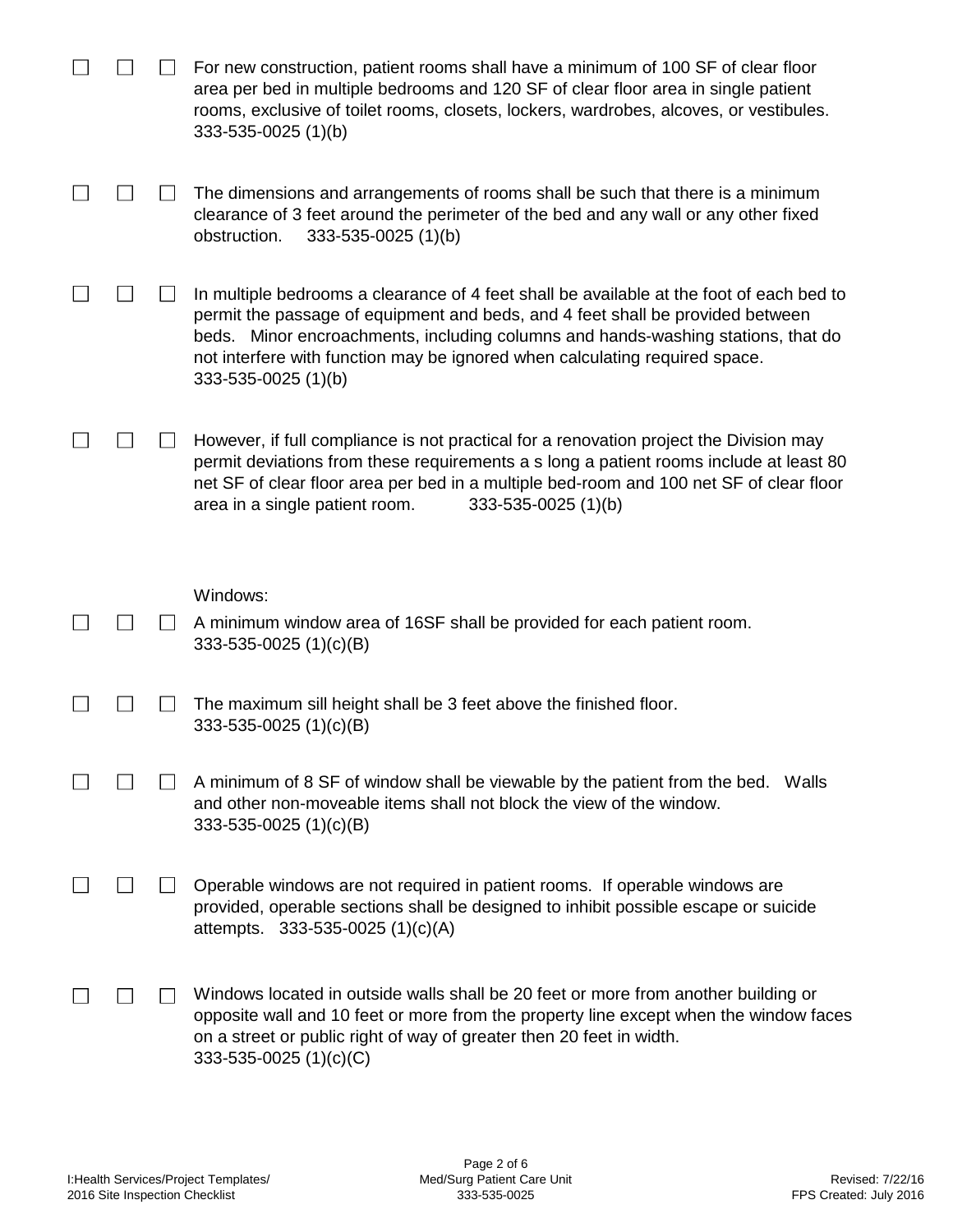|  | For new construction, patient rooms shall have a minimum of 100 SF of clear floor<br>area per bed in multiple bedrooms and 120 SF of clear floor area in single patient<br>rooms, exclusive of toilet rooms, closets, lockers, wardrobes, alcoves, or vestibules.<br>333-535-0025 (1)(b)                                                                             |
|--|----------------------------------------------------------------------------------------------------------------------------------------------------------------------------------------------------------------------------------------------------------------------------------------------------------------------------------------------------------------------|
|  | The dimensions and arrangements of rooms shall be such that there is a minimum<br>clearance of 3 feet around the perimeter of the bed and any wall or any other fixed<br>333-535-0025 (1)(b)<br>obstruction.                                                                                                                                                         |
|  | In multiple bedrooms a clearance of 4 feet shall be available at the foot of each bed to<br>permit the passage of equipment and beds, and 4 feet shall be provided between<br>beds. Minor encroachments, including columns and hands-washing stations, that do<br>not interfere with function may be ignored when calculating required space.<br>333-535-0025 (1)(b) |
|  | However, if full compliance is not practical for a renovation project the Division may<br>permit deviations from these requirements a s long a patient rooms include at least 80<br>net SF of clear floor area per bed in a multiple bed-room and 100 net SF of clear floor<br>area in a single patient room.<br>333-535-0025 (1)(b)                                 |
|  | Windows:                                                                                                                                                                                                                                                                                                                                                             |
|  | A minimum window area of 16SF shall be provided for each patient room.<br>333-535-0025 $(1)(c)(B)$                                                                                                                                                                                                                                                                   |
|  | The maximum sill height shall be 3 feet above the finished floor.<br>333-535-0025 (1)(c)(B)                                                                                                                                                                                                                                                                          |
|  | A minimum of 8 SF of window shall be viewable by the patient from the bed. Walls<br>and other non-moveable items shall not block the view of the window.<br>333-535-0025 (1)(c)(B)                                                                                                                                                                                   |
|  | Operable windows are not required in patient rooms. If operable windows are<br>provided, operable sections shall be designed to inhibit possible escape or suicide<br>attempts. $333-535-0025(1)(c)(A)$                                                                                                                                                              |
|  |                                                                                                                                                                                                                                                                                                                                                                      |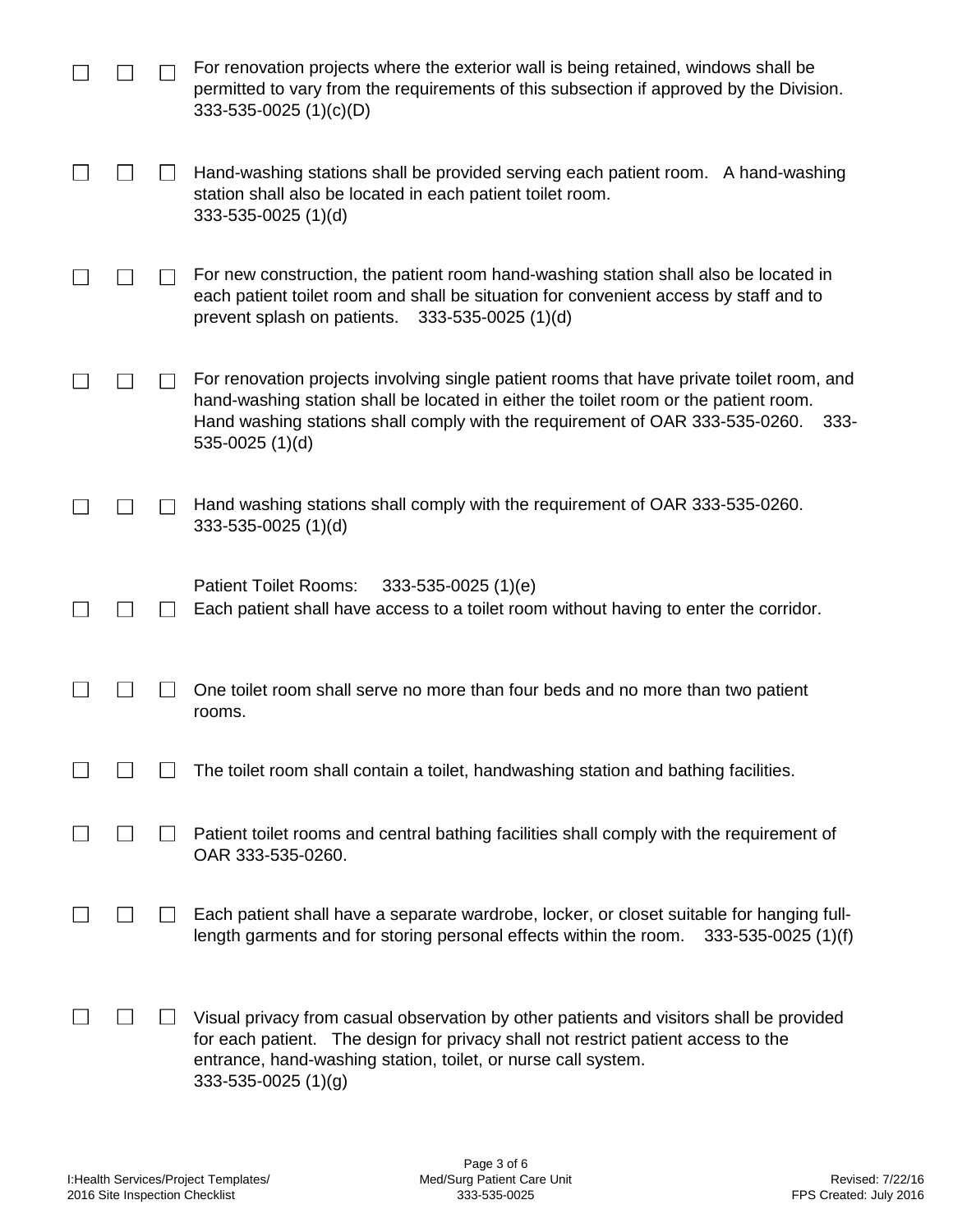|  | For renovation projects where the exterior wall is being retained, windows shall be<br>permitted to vary from the requirements of this subsection if approved by the Division.<br>333-535-0025 $(1)(c)(D)$                                                                                        |
|--|---------------------------------------------------------------------------------------------------------------------------------------------------------------------------------------------------------------------------------------------------------------------------------------------------|
|  | Hand-washing stations shall be provided serving each patient room. A hand-washing<br>station shall also be located in each patient toilet room.<br>333-535-0025 (1)(d)                                                                                                                            |
|  | For new construction, the patient room hand-washing station shall also be located in<br>each patient toilet room and shall be situation for convenient access by staff and to<br>prevent splash on patients.<br>$333 - 535 - 0025$ (1)(d)                                                         |
|  | For renovation projects involving single patient rooms that have private toilet room, and<br>hand-washing station shall be located in either the toilet room or the patient room.<br>Hand washing stations shall comply with the requirement of OAR 333-535-0260.<br>$333 -$<br>535-0025 $(1)(d)$ |
|  | Hand washing stations shall comply with the requirement of OAR 333-535-0260.<br>333-535-0025 (1)(d)                                                                                                                                                                                               |
|  | <b>Patient Toilet Rooms:</b><br>$333 - 535 - 0025$ (1)(e)<br>Each patient shall have access to a toilet room without having to enter the corridor.                                                                                                                                                |
|  | One toilet room shall serve no more than four beds and no more than two patient<br>rooms.                                                                                                                                                                                                         |
|  | The toilet room shall contain a toilet, handwashing station and bathing facilities.                                                                                                                                                                                                               |
|  | Patient toilet rooms and central bathing facilities shall comply with the requirement of<br>OAR 333-535-0260.                                                                                                                                                                                     |
|  | Each patient shall have a separate wardrobe, locker, or closet suitable for hanging full-<br>length garments and for storing personal effects within the room.<br>333-535-0025 (1)(f)                                                                                                             |
|  | Visual privacy from casual observation by other patients and visitors shall be provided<br>for each patient. The design for privacy shall not restrict patient access to the<br>entrance, hand-washing station, toilet, or nurse call system.<br>$333 - 535 - 0025$ (1)(g)                        |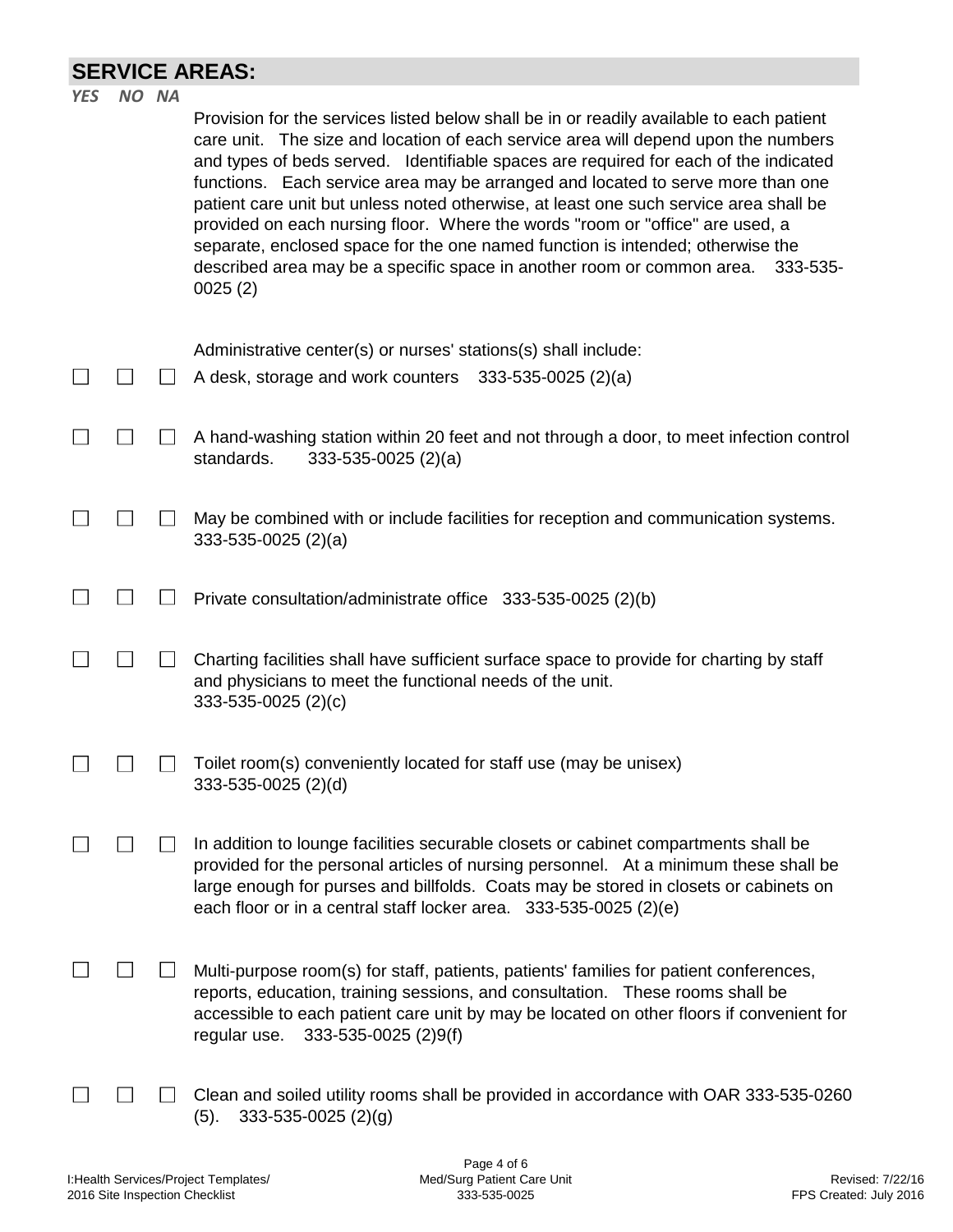## **SERVICE AREAS:**

| <b>YES</b> | NO NA | Provision for the services listed below shall be in or readily available to each patient<br>care unit. The size and location of each service area will depend upon the numbers<br>and types of beds served. Identifiable spaces are required for each of the indicated<br>functions. Each service area may be arranged and located to serve more than one<br>patient care unit but unless noted otherwise, at least one such service area shall be<br>provided on each nursing floor. Where the words "room or "office" are used, a<br>separate, enclosed space for the one named function is intended; otherwise the<br>described area may be a specific space in another room or common area.<br>333-535-<br>0025(2) |
|------------|-------|------------------------------------------------------------------------------------------------------------------------------------------------------------------------------------------------------------------------------------------------------------------------------------------------------------------------------------------------------------------------------------------------------------------------------------------------------------------------------------------------------------------------------------------------------------------------------------------------------------------------------------------------------------------------------------------------------------------------|
|            |       | Administrative center(s) or nurses' stations(s) shall include:<br>A desk, storage and work counters 333-535-0025 (2)(a)                                                                                                                                                                                                                                                                                                                                                                                                                                                                                                                                                                                                |
|            |       | A hand-washing station within 20 feet and not through a door, to meet infection control<br>standards.<br>$333-535-0025$ (2)(a)                                                                                                                                                                                                                                                                                                                                                                                                                                                                                                                                                                                         |
|            |       | May be combined with or include facilities for reception and communication systems.<br>$333-535-0025$ (2)(a)                                                                                                                                                                                                                                                                                                                                                                                                                                                                                                                                                                                                           |
|            |       | Private consultation/administrate office 333-535-0025 (2)(b)                                                                                                                                                                                                                                                                                                                                                                                                                                                                                                                                                                                                                                                           |
|            |       | Charting facilities shall have sufficient surface space to provide for charting by staff<br>and physicians to meet the functional needs of the unit.<br>$333 - 535 - 0025$ (2)(c)                                                                                                                                                                                                                                                                                                                                                                                                                                                                                                                                      |
|            |       | Toilet room(s) conveniently located for staff use (may be unisex)<br>333-535-0025 (2)(d)                                                                                                                                                                                                                                                                                                                                                                                                                                                                                                                                                                                                                               |
|            |       | In addition to lounge facilities securable closets or cabinet compartments shall be<br>provided for the personal articles of nursing personnel. At a minimum these shall be<br>large enough for purses and billfolds. Coats may be stored in closets or cabinets on<br>each floor or in a central staff locker area. 333-535-0025 (2)(e)                                                                                                                                                                                                                                                                                                                                                                               |
|            |       | Multi-purpose room(s) for staff, patients, patients' families for patient conferences,<br>reports, education, training sessions, and consultation. These rooms shall be<br>accessible to each patient care unit by may be located on other floors if convenient for<br>regular use.<br>333-535-0025 (2)9(f)                                                                                                                                                                                                                                                                                                                                                                                                            |
|            |       | Clean and soiled utility rooms shall be provided in accordance with OAR 333-535-0260<br>333-535-0025 (2)(g)<br>(5).                                                                                                                                                                                                                                                                                                                                                                                                                                                                                                                                                                                                    |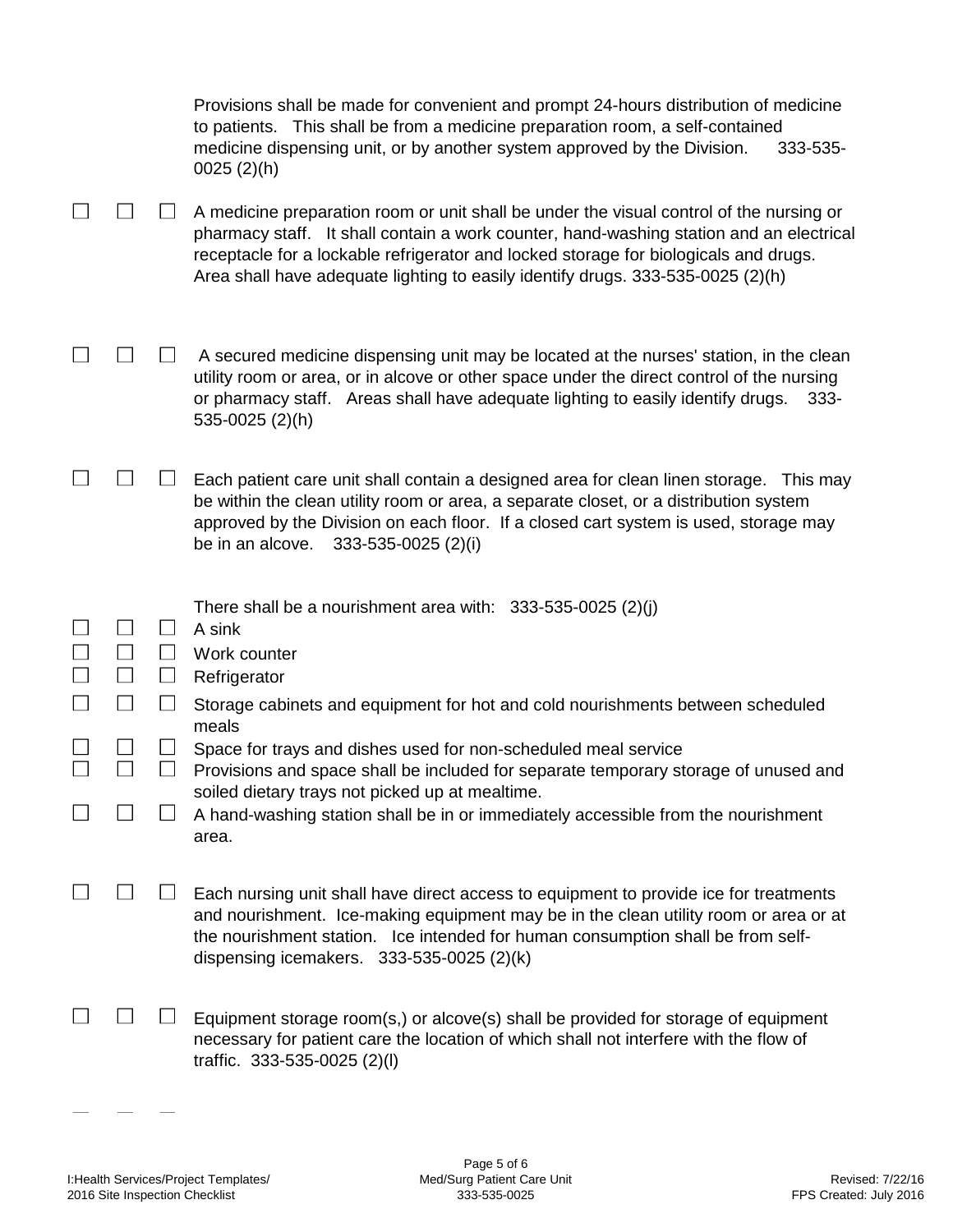|  |                             | Provisions shall be made for convenient and prompt 24-hours distribution of medicine<br>to patients. This shall be from a medicine preparation room, a self-contained<br>medicine dispensing unit, or by another system approved by the Division.<br>333-535-<br>$0025(2)$ (h)                                                                                |
|--|-----------------------------|---------------------------------------------------------------------------------------------------------------------------------------------------------------------------------------------------------------------------------------------------------------------------------------------------------------------------------------------------------------|
|  |                             | A medicine preparation room or unit shall be under the visual control of the nursing or<br>pharmacy staff. It shall contain a work counter, hand-washing station and an electrical<br>receptacle for a lockable refrigerator and locked storage for biologicals and drugs.<br>Area shall have adequate lighting to easily identify drugs. 333-535-0025 (2)(h) |
|  |                             | A secured medicine dispensing unit may be located at the nurses' station, in the clean<br>utility room or area, or in alcove or other space under the direct control of the nursing<br>or pharmacy staff. Areas shall have adequate lighting to easily identify drugs.<br>333-<br>535-0025 (2)(h)                                                             |
|  |                             | Each patient care unit shall contain a designed area for clean linen storage. This may<br>be within the clean utility room or area, a separate closet, or a distribution system<br>approved by the Division on each floor. If a closed cart system is used, storage may<br>be in an alcove.<br>333-535-0025 (2)(i)                                            |
|  |                             |                                                                                                                                                                                                                                                                                                                                                               |
|  |                             | There shall be a nourishment area with: $333-535-0025$ (2)(j)                                                                                                                                                                                                                                                                                                 |
|  | $\Box$                      | A sink<br>Work counter                                                                                                                                                                                                                                                                                                                                        |
|  | $\Box$                      | Refrigerator                                                                                                                                                                                                                                                                                                                                                  |
|  |                             | Storage cabinets and equipment for hot and cold nourishments between scheduled<br>meals                                                                                                                                                                                                                                                                       |
|  | $\mathcal{L}_{\mathcal{A}}$ | Space for trays and dishes used for non-scheduled meal service<br>Provisions and space shall be included for separate temporary storage of unused and                                                                                                                                                                                                         |
|  |                             | soiled dietary trays not picked up at mealtime.<br>A hand-washing station shall be in or immediately accessible from the nourishment<br>area.                                                                                                                                                                                                                 |
|  |                             | Each nursing unit shall have direct access to equipment to provide ice for treatments<br>and nourishment. Ice-making equipment may be in the clean utility room or area or at<br>the nourishment station. Ice intended for human consumption shall be from self-<br>dispensing icemakers. $333-535-0025$ (2)(k)                                               |

 $\sim$ 

 $\overline{\phantom{m}}$ 

ш.